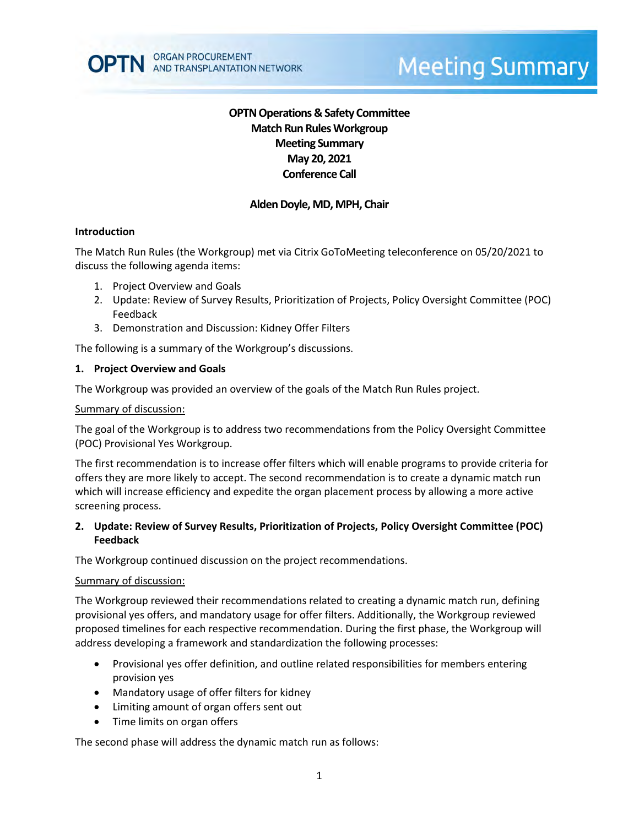# **OPTN Operations & Safety Committee Match Run RulesWorkgroup Meeting Summary May 20, 2021 Conference Call**

## **Alden Doyle, MD, MPH, Chair**

### **Introduction**

The Match Run Rules (the Workgroup) met via Citrix GoToMeeting teleconference on 05/20/2021 to discuss the following agenda items:

- 1. Project Overview and Goals
- 2. Update: Review of Survey Results, Prioritization of Projects, Policy Oversight Committee (POC) Feedback
- 3. Demonstration and Discussion: Kidney Offer Filters

The following is a summary of the Workgroup's discussions.

#### **1. Project Overview and Goals**

The Workgroup was provided an overview of the goals of the Match Run Rules project.

#### Summary of discussion:

The goal of the Workgroup is to address two recommendations from the Policy Oversight Committee (POC) Provisional Yes Workgroup.

The first recommendation is to increase offer filters which will enable programs to provide criteria for offers they are more likely to accept. The second recommendation is to create a dynamic match run which will increase efficiency and expedite the organ placement process by allowing a more active screening process.

### **2. Update: Review of Survey Results, Prioritization of Projects, Policy Oversight Committee (POC) Feedback**

The Workgroup continued discussion on the project recommendations.

#### Summary of discussion:

The Workgroup reviewed their recommendations related to creating a dynamic match run, defining provisional yes offers, and mandatory usage for offer filters. Additionally, the Workgroup reviewed proposed timelines for each respective recommendation. During the first phase, the Workgroup will address developing a framework and standardization the following processes:

- Provisional yes offer definition, and outline related responsibilities for members entering provision yes
- Mandatory usage of offer filters for kidney
- Limiting amount of organ offers sent out
- Time limits on organ offers

The second phase will address the dynamic match run as follows: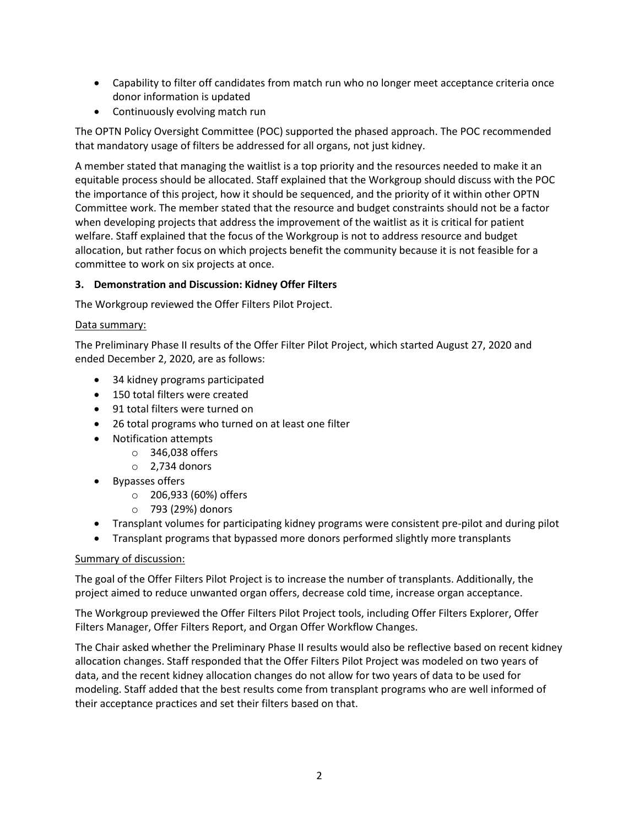- Capability to filter off candidates from match run who no longer meet acceptance criteria once donor information is updated
- Continuously evolving match run

The OPTN Policy Oversight Committee (POC) supported the phased approach. The POC recommended that mandatory usage of filters be addressed for all organs, not just kidney.

A member stated that managing the waitlist is a top priority and the resources needed to make it an equitable process should be allocated. Staff explained that the Workgroup should discuss with the POC the importance of this project, how it should be sequenced, and the priority of it within other OPTN Committee work. The member stated that the resource and budget constraints should not be a factor when developing projects that address the improvement of the waitlist as it is critical for patient welfare. Staff explained that the focus of the Workgroup is not to address resource and budget allocation, but rather focus on which projects benefit the community because it is not feasible for a committee to work on six projects at once.

## **3. Demonstration and Discussion: Kidney Offer Filters**

The Workgroup reviewed the Offer Filters Pilot Project.

## Data summary:

The Preliminary Phase II results of the Offer Filter Pilot Project, which started August 27, 2020 and ended December 2, 2020, are as follows:

- 34 kidney programs participated
- 150 total filters were created
- 91 total filters were turned on
- 26 total programs who turned on at least one filter
- Notification attempts
	- o 346,038 offers
	- $\circ$  2.734 donors
- Bypasses offers
	- o 206,933 (60%) offers
	- o 793 (29%) donors
- Transplant volumes for participating kidney programs were consistent pre-pilot and during pilot
- Transplant programs that bypassed more donors performed slightly more transplants

### Summary of discussion:

The goal of the Offer Filters Pilot Project is to increase the number of transplants. Additionally, the project aimed to reduce unwanted organ offers, decrease cold time, increase organ acceptance.

The Workgroup previewed the Offer Filters Pilot Project tools, including Offer Filters Explorer, Offer Filters Manager, Offer Filters Report, and Organ Offer Workflow Changes.

The Chair asked whether the Preliminary Phase II results would also be reflective based on recent kidney allocation changes. Staff responded that the Offer Filters Pilot Project was modeled on two years of data, and the recent kidney allocation changes do not allow for two years of data to be used for modeling. Staff added that the best results come from transplant programs who are well informed of their acceptance practices and set their filters based on that.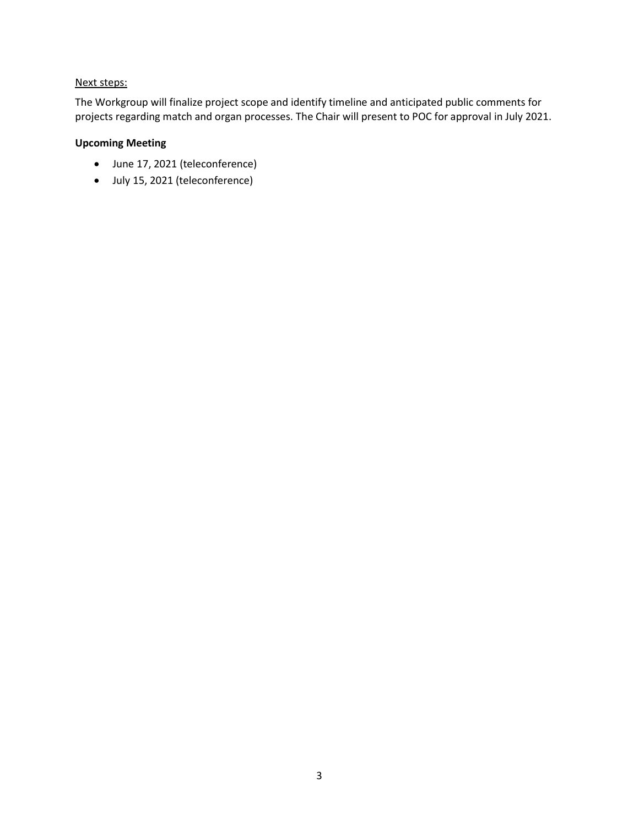## Next steps:

The Workgroup will finalize project scope and identify timeline and anticipated public comments for projects regarding match and organ processes. The Chair will present to POC for approval in July 2021.

## **Upcoming Meeting**

- June 17, 2021 (teleconference)
- July 15, 2021 (teleconference)